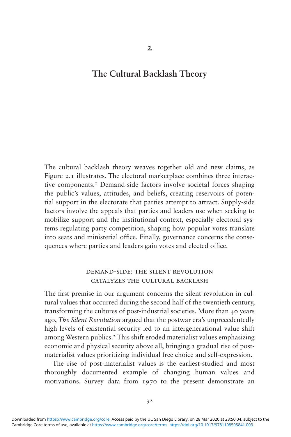# **The Cultural Backlash Theory**

2

The cultural backlash theory weaves together old and new claims, as Figure 2.1 illustrates. The electoral marketplace combines three interactive components.<sup>1</sup> Demand-side factors involve societal forces shaping the public's values, attitudes, and beliefs, creating reservoirs of potential support in the electorate that parties attempt to attract. Supply-side factors involve the appeals that parties and leaders use when seeking to mobilize support and the institutional context, especially electoral systems regulating party competition, shaping how popular votes translate into seats and ministerial office. Finally, governance concerns the consequences where parties and leaders gain votes and elected office.

# Demand-side: the silent revolution catalyzes the cultural backlash

The first premise in our argument concerns the silent revolution in cultural values that occurred during the second half of the twentieth century, transforming the cultures of post-industrial societies. More than 40 years ago, *The Silent Revolution* argued that the postwar era's unprecedentedly high levels of existential security led to an intergenerational value shift among Western publics.<sup>2</sup> This shift eroded materialist values emphasizing economic and physical security above all, bringing a gradual rise of postmaterialist values prioritizing individual free choice and self-expression.

The rise of post-materialist values is the earliest-studied and most thoroughly documented example of changing human values and motivations. Survey data from 1970 to the present demonstrate an

32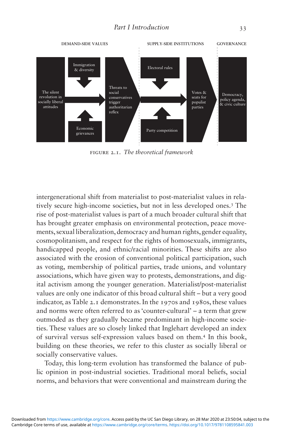

Figure 2.1. *The theoretical framework*

intergenerational shift from materialist to post-materialist values in relatively secure high-income societies, but not in less developed ones.3 The rise of post-materialist values is part of a much broader cultural shift that has brought greater emphasis on environmental protection, peace movements, sexual liberalization, democracy and human rights, gender equality, cosmopolitanism, and respect for the rights of homosexuals, immigrants, handicapped people, and ethnic/racial minorities. These shifts are also associated with the erosion of conventional political participation, such as voting, membership of political parties, trade unions, and voluntary associations, which have given way to protests, demonstrations, and digital activism among the younger generation. Materialist/post-materialist values are only one indicator of this broad cultural shift – but a very good indicator, as Table 2.1 demonstrates. In the 1970s and 1980s, these values and norms were often referred to as 'counter-cultural' – a term that grew outmoded as they gradually became predominant in high-income societies. These values are so closely linked that Inglehart developed an index of survival versus self-expression values based on them.4 In this book, building on these theories, we refer to this cluster as socially liberal or socially conservative values.

Today, this long-term evolution has transformed the balance of public opinion in post-industrial societies. Traditional moral beliefs, social norms, and behaviors that were conventional and mainstream during the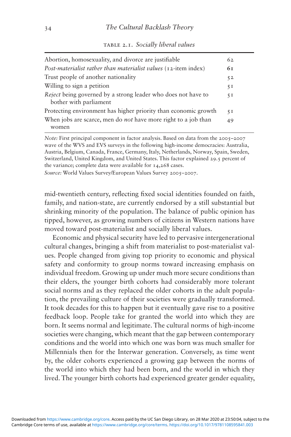| Abortion, homosexuality, and divorce are justifiable                                    | 62             |
|-----------------------------------------------------------------------------------------|----------------|
| Post-materialist rather than materialist values (12-item index)                         | 6 <sup>T</sup> |
| Trust people of another nationality                                                     | 52             |
| Willing to sign a petition                                                              | 5I             |
| Reject being governed by a strong leader who does not have to<br>bother with parliament | 5I             |
| Protecting environment has higher priority than economic growth                         | 5I             |
| When jobs are scarce, men do <i>not</i> have more right to a job than<br>women          | 49             |

Table 2.1. *Socially liberal values*

*Note:* First principal component in factor analysis. Based on data from the 2005–2007 wave of the WVS and EVS surveys in the following high-income democracies: Australia, Austria, Belgium, Canada, France, Germany, Italy, Netherlands, Norway, Spain, Sweden, Switzerland, United Kingdom, and United States. This factor explained 29.5 percent of the variance; complete data were available for 14,268 cases.

*Source:* World Values Survey/European Values Survey 2005–2007.

mid-twentieth century, reflecting fixed social identities founded on faith, family, and nation-state, are currently endorsed by a still substantial but shrinking minority of the population. The balance of public opinion has tipped, however, as growing numbers of citizens in Western nations have moved toward post-materialist and socially liberal values.

Economic and physical security have led to pervasive intergenerational cultural changes, bringing a shift from materialist to post-materialist values. People changed from giving top priority to economic and physical safety and conformity to group norms toward increasing emphasis on individual freedom. Growing up under much more secure conditions than their elders, the younger birth cohorts had considerably more tolerant social norms and as they replaced the older cohorts in the adult population, the prevailing culture of their societies were gradually transformed. It took decades for this to happen but it eventually gave rise to a positive feedback loop. People take for granted the world into which they are born. It seems normal and legitimate. The cultural norms of high-income societies were changing, which meant that the gap between contemporary conditions and the world into which one was born was much smaller for Millennials then for the Interwar generation. Conversely, as time went by, the older cohorts experienced a growing gap between the norms of the world into which they had been born, and the world in which they lived. The younger birth cohorts had experienced greater gender equality,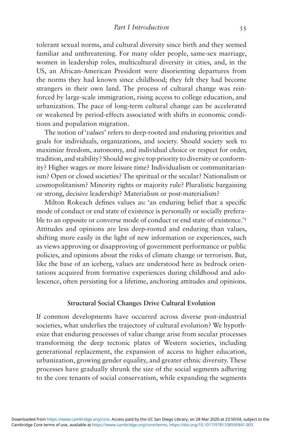tolerant sexual norms, and cultural diversity since birth and they seemed familiar and unthreatening. For many older people, same-sex marriage, women in leadership roles, multicultural diversity in cities, and, in the US, an African-American President were disorienting departures from the norms they had known since childhood; they felt they had become strangers in their own land. The process of cultural change was reinforced by large-scale immigration, rising access to college education, and urbanization. The pace of long-term cultural change can be accelerated or weakened by period-effects associated with shifts in economic conditions and population migration.

The notion of '*values*' refers to deep-rooted and enduring priorities and goals for individuals, organizations, and society. Should society seek to maximize freedom, autonomy, and individual choice or respect for order, tradition, and stability? Should we give top priority to diversity or conformity? Higher wages or more leisure time? Individualism or communitarianism? Open or closed societies? The spiritual or the secular? Nationalism or cosmopolitanism? Minority rights or majority rule? Pluralistic bargaining or strong, decisive leadership? Materialism or post-materialism?

Milton Rokeach defines values as: 'an enduring belief that a specific mode of conduct or end state of existence is personally or socially preferable to an opposite or converse mode of conduct or end state of existence.'5 Attitudes and opinions are less deep-rooted and enduring than values, shifting more easily in the light of new information or experiences, such as views approving or disapproving of government performance or public policies, and opinions about the risks of climate change or terrorism. But, like the base of an iceberg, values are understood here as bedrock orientations acquired from formative experiences during childhood and adolescence, often persisting for a lifetime, anchoring attitudes and opinions.

# **Structural Social Changes Drive Cultural Evolution**

If common developments have occurred across diverse post-industrial societies, what underlies the trajectory of cultural evolution? We hypothesize that enduring processes of value change arise from secular processes transforming the deep tectonic plates of Western societies, including generational replacement, the expansion of access to higher education, urbanization, growing gender equality, and greater ethnic diversity. These processes have gradually shrunk the size of the social segments adhering to the core tenants of social conservatism, while expanding the segments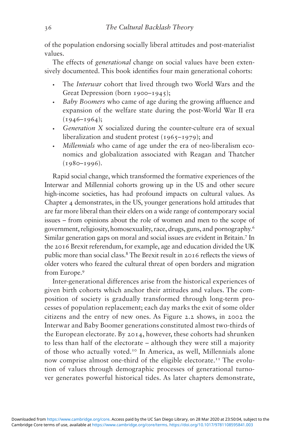of the population endorsing socially liberal attitudes and post-materialist values.

The effects of *generational* change on social values have been extensively documented. This book identifies four main generational cohorts:

- • The *Interwar* cohort that lived through two World Wars and the Great Depression (born 1900–1945);
- • *Baby Boomers* who came of age during the growing affluence and expansion of the welfare state during the post-World War II era  $(1946 - 1964);$
- Generation X socialized during the counter-culture era of sexual liberalization and student protest (1965–1979); and
- *Millennials* who came of age under the era of neo-liberalism economics and globalization associated with Reagan and Thatcher (1980–1996).

Rapid social change, which transformed the formative experiences of the Interwar and Millennial cohorts growing up in the US and other secure high-income societies, has had profound impacts on cultural values. As Chapter 4 demonstrates, in the US, younger generations hold attitudes that are far more liberal than their elders on a wide range of contemporary social issues – from opinions about the role of women and men to the scope of government, religiosity, homosexuality, race, drugs, guns, and pornography.6 Similar generation gaps on moral and social issues are evident in Britain.7 In the 2016 Brexit referendum, for example, age and education divided the UK public more than social class.8 The Brexit result in 2016 reflects the views of older voters who feared the cultural threat of open borders and migration from Europe.9

Inter-generational differences arise from the historical experiences of given birth cohorts which anchor their attitudes and values. The composition of society is gradually transformed through long-term processes of population replacement; each day marks the exit of some older citizens and the entry of new ones. As Figure 2.2 shows, in 2002 the Interwar and Baby Boomer generations constituted almost two-thirds of the European electorate. By 2014, however, these cohorts had shrunken to less than half of the electorate – although they were still a majority of those who actually voted.10 In America, as well, Millennials alone now comprise almost one-third of the eligible electorate.<sup>11</sup> The evolution of values through demographic processes of generational turnover generates powerful historical tides. As later chapters demonstrate,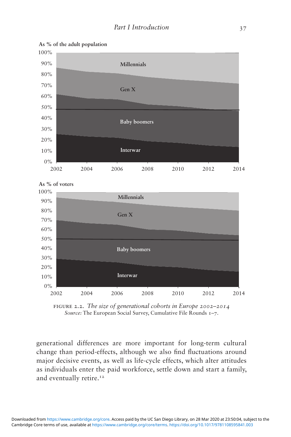

**As % of the adult population**

Figure 2.2. *The size of generational cohorts in Europe 2002–2014 Source:* The European Social Survey, Cumulative File Rounds 1–7.

generational differences are more important for long-term cultural change than period-effects, although we also find fluctuations around major decisive events, as well as life-cycle effects, which alter attitudes as individuals enter the paid workforce, settle down and start a family, and eventually retire.<sup>12</sup>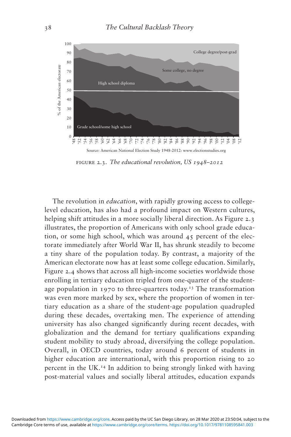

Figure 2.3. *The educational revolution, US 1948–2012*

The revolution in *education*, with rapidly growing access to collegelevel education, has also had a profound impact on Western cultures, helping shift attitudes in a more socially liberal direction. As Figure 2.3 illustrates, the proportion of Americans with only school grade education, or some high school, which was around 45 percent of the electorate immediately after World War II, has shrunk steadily to become a tiny share of the population today. By contrast, a majority of the American electorate now has at least some college education. Similarly, Figure 2.4 shows that across all high-income societies worldwide those enrolling in tertiary education tripled from one-quarter of the studentage population in 1970 to three-quarters today.<sup>13</sup> The transformation was even more marked by sex, where the proportion of women in tertiary education as a share of the student-age population quadrupled during these decades, overtaking men. The experience of attending university has also changed significantly during recent decades, with globalization and the demand for tertiary qualifications expanding student mobility to study abroad, diversifying the college population. Overall, in OECD countries, today around 6 percent of students in higher education are international, with this proportion rising to 20 percent in the UK.14 In addition to being strongly linked with having post-material values and socially liberal attitudes, education expands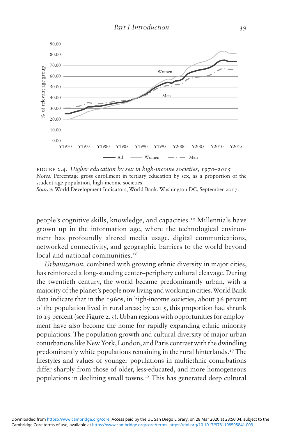

Figure 2.4. *Higher education by sex in high-income societies, 1970–2015 Notes:* Percentage gross enrollment in tertiary education by sex, as a proportion of the student-age population, high-income societies.

*Source:* World Development Indicators, World Bank, Washington DC, September 2017.

people's cognitive skills, knowledge, and capacities.15 Millennials have grown up in the information age, where the technological environment has profoundly altered media usage, digital communications, networked connectivity, and geographic barriers to the world beyond local and national communities.<sup>16</sup>

*Urbanization,* combined with growing ethnic diversity in major cities, has reinforced a long-standing center–periphery cultural cleavage. During the twentieth century, the world became predominantly urban, with a majority of the planet's people now living and working in cities. World Bank data indicate that in the 1960s, in high-income societies, about 36 percent of the population lived in rural areas; by 2015, this proportion had shrunk to 19 percent (see Figure 2.5). Urban regions with opportunities for employment have also become the home for rapidly expanding ethnic minority populations. The population growth and cultural diversity of major urban conurbations like New York, London, and Paris contrast with the dwindling predominantly white populations remaining in the rural hinterlands.17 The lifestyles and values of younger populations in multiethnic conurbations differ sharply from those of older, less-educated, and more homogeneous populations in declining small towns.18 This has generated deep cultural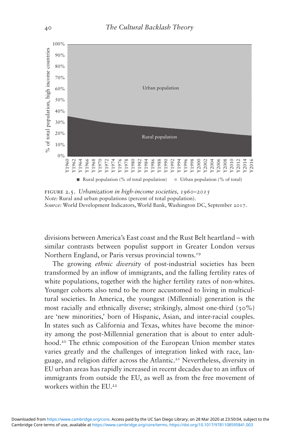

Figure 2.5. *Urbanization in high-income societies, 1960–2015 Note:* Rural and urban populations (percent of total population). *Source:* World Development Indicators, World Bank, Washington DC, September 2017.

divisions between America's East coast and the Rust Belt heartland – with similar contrasts between populist support in Greater London versus Northern England, or Paris versus provincial towns.<sup>19</sup>

The growing *ethnic diversity* of post-industrial societies has been transformed by an inflow of immigrants, and the falling fertility rates of white populations, together with the higher fertility rates of non-whites. Younger cohorts also tend to be more accustomed to living in multicultural societies. In America, the youngest (Millennial) generation is the most racially and ethnically diverse; strikingly, almost one-third (30%) are 'new minorities,' born of Hispanic, Asian, and inter-racial couples. In states such as California and Texas, whites have become the minority among the post-Millennial generation that is about to enter adulthood.<sup>20</sup> The ethnic composition of the European Union member states varies greatly and the challenges of integration linked with race, language, and religion differ across the Atlantic.21 Nevertheless, diversity in EU urban areas has rapidly increased in recent decades due to an influx of immigrants from outside the EU, as well as from the free movement of workers within the EU.22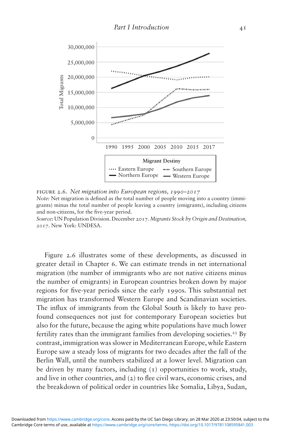

Figure 2.6. *Net migration into European regions, 1990–2017 Note:* Net migration is defined as the total number of people moving into a country (immigrants) minus the total number of people leaving a country (emigrants), including citizens and non-citizens, for the five-year period.

*Source:* UN Population Division. December 2017. *Migrants Stock by Origin and Destination, 2017*. New York: UNDESA.

Figure 2.6 illustrates some of these developments, as discussed in greater detail in Chapter 6. We can estimate trends in net international migration (the number of immigrants who are not native citizens minus the number of emigrants) in European countries broken down by major regions for five-year periods since the early 1990s. This substantial net migration has transformed Western Europe and Scandinavian societies. The influx of immigrants from the Global South is likely to have profound consequences not just for contemporary European societies but also for the future, because the aging white populations have much lower fertility rates than the immigrant families from developing societies.<sup>23</sup> By contrast, immigration was slower in Mediterranean Europe, while Eastern Europe saw a steady loss of migrants for two decades after the fall of the Berlin Wall, until the numbers stabilized at a lower level. Migration can be driven by many factors, including (1) opportunities to work, study, and live in other countries, and (2) to flee civil wars, economic crises, and the breakdown of political order in countries like Somalia, Libya, Sudan,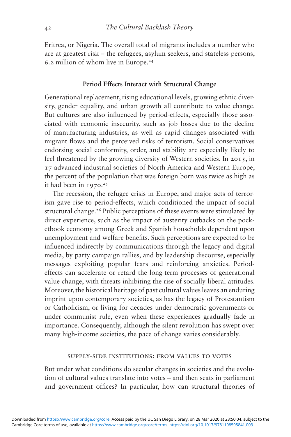Eritrea, or Nigeria. The overall total of migrants includes a number who are at greatest risk – the refugees, asylum seekers, and stateless persons, 6.2 million of whom live in Europe.24

#### **Period Effects Interact with Structural Change**

Generational replacement, rising educational levels, growing ethnic diversity, gender equality, and urban growth all contribute to value change. But cultures are also influenced by period-effects, especially those associated with economic insecurity, such as job losses due to the decline of manufacturing industries, as well as rapid changes associated with migrant flows and the perceived risks of terrorism. Social conservatives endorsing social conformity, order, and stability are especially likely to feel threatened by the growing diversity of Western societies. In 2015, in 17 advanced industrial societies of North America and Western Europe, the percent of the population that was foreign born was twice as high as it had been in  $1970.^{25}$ 

The recession, the refugee crisis in Europe, and major acts of terrorism gave rise to period-effects, which conditioned the impact of social structural change.<sup>26</sup> Public perceptions of these events were stimulated by direct experience, such as the impact of austerity cutbacks on the pocketbook economy among Greek and Spanish households dependent upon unemployment and welfare benefits. Such perceptions are expected to be influenced indirectly by communications through the legacy and digital media, by party campaign rallies, and by leadership discourse, especially messages exploiting popular fears and reinforcing anxieties. Periodeffects can accelerate or retard the long-term processes of generational value change, with threats inhibiting the rise of socially liberal attitudes. Moreover, the historical heritage of past cultural values leaves an enduring imprint upon contemporary societies, as has the legacy of Protestantism or Catholicism, or living for decades under democratic governments or under communist rule, even when these experiences gradually fade in importance. Consequently, although the silent revolution has swept over many high-income societies, the pace of change varies considerably.

#### Supply-side institutions: from values to votes

But under what conditions do secular changes in societies and the evolution of cultural values translate into votes – and then seats in parliament and government offices? In particular, how can structural theories of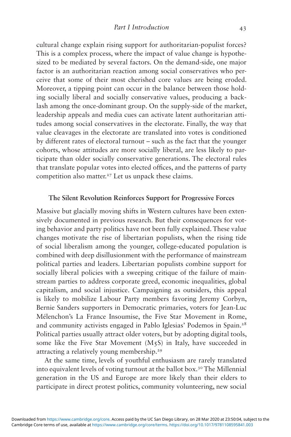cultural change explain rising support for authoritarian-populist forces? This is a complex process, where the impact of value change is hypothesized to be mediated by several factors. On the demand-side, one major factor is an authoritarian reaction among social conservatives who perceive that some of their most cherished core values are being eroded. Moreover, a tipping point can occur in the balance between those holding socially liberal and socially conservative values, producing a backlash among the once-dominant group. On the supply-side of the market, leadership appeals and media cues can activate latent authoritarian attitudes among social conservatives in the electorate. Finally, the way that value cleavages in the electorate are translated into votes is conditioned by different rates of electoral turnout – such as the fact that the younger cohorts, whose attitudes are more socially liberal, are less likely to participate than older socially conservative generations. The electoral rules that translate popular votes into elected offices, and the patterns of party competition also matter.<sup>27</sup> Let us unpack these claims.

# **The Silent Revolution Reinforces Support for Progressive Forces**

Massive but glacially moving shifts in Western cultures have been extensively documented in previous research. But their consequences for voting behavior and party politics have not been fully explained. These value changes motivate the rise of libertarian populists, when the rising tide of social liberalism among the younger, college-educated population is combined with deep disillusionment with the performance of mainstream political parties and leaders. Libertarian populists combine support for socially liberal policies with a sweeping critique of the failure of mainstream parties to address corporate greed, economic inequalities, global capitalism, and social injustice. Campaigning as outsiders, this appeal is likely to mobilize Labour Party members favoring Jeremy Corbyn, Bernie Sanders supporters in Democratic primaries, voters for Jean-Luc Mélenchon's La France Insoumise, the Five Star Movement in Rome, and community activists engaged in Pablo Iglesias' Podemos in Spain.28 Political parties usually attract older voters, but by adopting digital tools, some like the Five Star Movement (M5S) in Italy, have succeeded in attracting a relatively young membership.29

At the same time, levels of youthful enthusiasm are rarely translated into equivalent levels of voting turnout at the ballot box.<sup>30</sup> The Millennial generation in the US and Europe are more likely than their elders to participate in direct protest politics, community volunteering, new social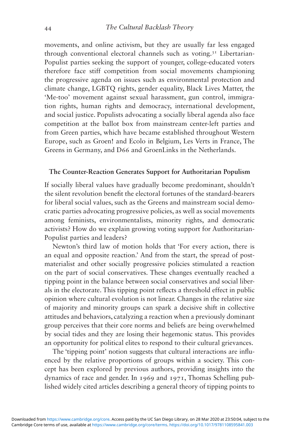movements, and online activism, but they are usually far less engaged through conventional electoral channels such as voting.<sup>31</sup> Libertarian-Populist parties seeking the support of younger, college-educated voters therefore face stiff competition from social movements championing the progressive agenda on issues such as environmental protection and climate change, LGBTQ rights, gender equality, Black Lives Matter, the 'Me-too' movement against sexual harassment, gun control, immigration rights, human rights and democracy, international development, and social justice. Populists advocating a socially liberal agenda also face competition at the ballot box from mainstream center-left parties and from Green parties, which have became established throughout Western Europe, such as Groen! and Ecolo in Belgium, Les Verts in France, The Greens in Germany, and D66 and GroenLinks in the Netherlands.

# **The Counter-Reaction Generates Support for Authoritarian Populism**

If socially liberal values have gradually become predominant, shouldn't the silent revolution benefit the electoral fortunes of the standard-bearers for liberal social values, such as the Greens and mainstream social democratic parties advocating progressive policies, as well as social movements among feminists, environmentalists, minority rights, and democratic activists? How do we explain growing voting support for Authoritarian-Populist parties and leaders?

Newton's third law of motion holds that 'For every action, there is an equal and opposite reaction.' And from the start, the spread of postmaterialist and other socially progressive policies stimulated a reaction on the part of social conservatives. These changes eventually reached a tipping point in the balance between social conservatives and social liberals in the electorate. This tipping point reflects a threshold effect in public opinion where cultural evolution is not linear. Changes in the relative size of majority and minority groups can spark a decisive shift in collective attitudes and behaviors, catalyzing a reaction when a previously dominant group perceives that their core norms and beliefs are being overwhelmed by social tides and they are losing their hegemonic status. This provides an opportunity for political elites to respond to their cultural grievances.

The 'tipping point' notion suggests that cultural interactions are influenced by the relative proportions of groups within a society. This concept has been explored by previous authors, providing insights into the dynamics of race and gender. In 1969 and 1971, Thomas Schelling published widely cited articles describing a general theory of tipping points to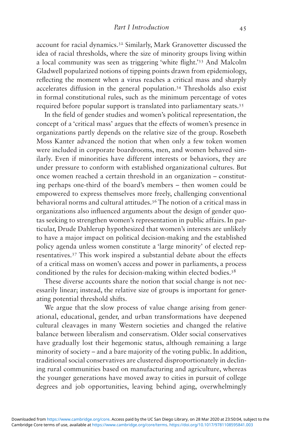account for racial dynamics.32 Similarly, Mark Granovetter discussed the idea of racial thresholds, where the size of minority groups living within a local community was seen as triggering 'white flight.'33 And Malcolm Gladwell popularized notions of tipping points drawn from epidemiology, reflecting the moment when a virus reaches a critical mass and sharply accelerates diffusion in the general population.34 Thresholds also exist in formal constitutional rules, such as the minimum percentage of votes required before popular support is translated into parliamentary seats.<sup>35</sup>

In the field of gender studies and women's political representation, the concept of a 'critical mass' argues that the effects of women's presence in organizations partly depends on the relative size of the group. Rosebeth Moss Kanter advanced the notion that when only a few token women were included in corporate boardrooms, men, and women behaved similarly. Even if minorities have different interests or behaviors, they are under pressure to conform with established organizational cultures. But once women reached a certain threshold in an organization – constituting perhaps one-third of the board's members – then women could be empowered to express themselves more freely, challenging conventional behavioral norms and cultural attitudes.36 The notion of a critical mass in organizations also influenced arguments about the design of gender quotas seeking to strengthen women's representation in public affairs. In particular, Drude Dahlerup hypothesized that women's interests are unlikely to have a major impact on political decision-making and the established policy agenda unless women constitute a 'large minority' of elected representatives.37 This work inspired a substantial debate about the effects of a critical mass on women's access and power in parliaments, a process conditioned by the rules for decision-making within elected bodies.<sup>38</sup>

These diverse accounts share the notion that social change is not necessarily linear; instead, the relative size of groups is important for generating potential threshold shifts.

We argue that the slow process of value change arising from generational, educational, gender, and urban transformations have deepened cultural cleavages in many Western societies and changed the relative balance between liberalism and conservatism. Older social conservatives have gradually lost their hegemonic status, although remaining a large minority of society – and a bare majority of the voting public. In addition, traditional social conservatives are clustered disproportionately in declining rural communities based on manufacturing and agriculture, whereas the younger generations have moved away to cities in pursuit of college degrees and job opportunities, leaving behind aging, overwhelmingly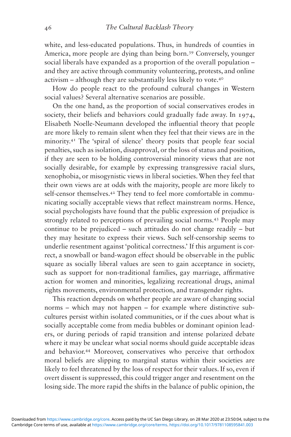white, and less-educated populations. Thus, in hundreds of counties in America, more people are dying than being born.39 Conversely, younger social liberals have expanded as a proportion of the overall population – and they are active through community volunteering, protests, and online activism – although they are substantially less likely to vote.40

How do people react to the profound cultural changes in Western social values? Several alternative scenarios are possible.

On the one hand, as the proportion of social conservatives erodes in society, their beliefs and behaviors could gradually fade away. In 1974, Elisabeth Noelle-Neumann developed the influential theory that people are more likely to remain silent when they feel that their views are in the minority.41 The 'spiral of silence' theory posits that people fear social penalties, such as isolation, disapproval, or the loss of status and position, if they are seen to be holding controversial minority views that are not socially desirable, for example by expressing transgressive racial slurs, xenophobia, or misogynistic views in liberal societies. When they feel that their own views are at odds with the majority, people are more likely to self-censor themselves.<sup>42</sup> They tend to feel more comfortable in communicating socially acceptable views that reflect mainstream norms. Hence, social psychologists have found that the public expression of prejudice is strongly related to perceptions of prevailing social norms.43 People may continue to be prejudiced – such attitudes do not change readily – but they may hesitate to express their views. Such self-censorship seems to underlie resentment against 'political correctness.' If this argument is correct, a snowball or band-wagon effect should be observable in the public square as socially liberal values are seen to gain acceptance in society, such as support for non-traditional families, gay marriage, affirmative action for women and minorities, legalizing recreational drugs, animal rights movements, environmental protection, and transgender rights.

This reaction depends on whether people are aware of changing social norms – which may not happen – for example where distinctive subcultures persist within isolated communities, or if the cues about what is socially acceptable come from media bubbles or dominant opinion leaders, or during periods of rapid transition and intense polarized debate where it may be unclear what social norms should guide acceptable ideas and behavior.44 Moreover, conservatives who perceive that orthodox moral beliefs are slipping to marginal status within their societies are likely to feel threatened by the loss of respect for their values. If so, even if overt dissent is suppressed, this could trigger anger and resentment on the losing side. The more rapid the shifts in the balance of public opinion, the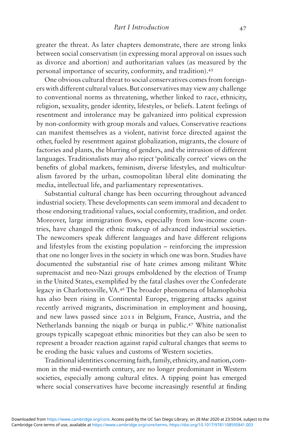greater the threat. As later chapters demonstrate, there are strong links between social conservatism (in expressing moral approval on issues such as divorce and abortion) and authoritarian values (as measured by the personal importance of security, conformity, and tradition).45

One obvious cultural threat to social conservatives comes from foreigners with different cultural values. But conservatives may view any challenge to conventional norms as threatening, whether linked to race, ethnicity, religion, sexuality, gender identity, lifestyles, or beliefs. Latent feelings of resentment and intolerance may be galvanized into political expression by non-conformity with group morals and values. Conservative reactions can manifest themselves as a violent, nativist force directed against the other, fueled by resentment against globalization, migrants, the closure of factories and plants, the blurring of genders, and the intrusion of different languages. Traditionalists may also reject 'politically correct' views on the benefits of global markets, feminism, diverse lifestyles, and multiculturalism favored by the urban, cosmopolitan liberal elite dominating the media, intellectual life, and parliamentary representatives.

Substantial cultural change has been occurring throughout advanced industrial society. These developments can seem immoral and decadent to those endorsing traditional values, social conformity, tradition, and order. Moreover, large immigration flows, especially from low-income countries, have changed the ethnic makeup of advanced industrial societies. The newcomers speak different languages and have different religions and lifestyles from the existing population – reinforcing the impression that one no longer lives in the society in which one was born. Studies have documented the substantial rise of hate crimes among militant White supremacist and neo-Nazi groups emboldened by the election of Trump in the United States, exemplified by the fatal clashes over the Confederate legacy in Charlottesville, VA.46 The broader phenomena of Islamophobia has also been rising in Continental Europe, triggering attacks against recently arrived migrants, discrimination in employment and housing, and new laws passed since 2011 in Belgium, France, Austria, and the Netherlands banning the niqab or burqa in public.47 White nationalist groups typically scapegoat ethnic minorities but they can also be seen to represent a broader reaction against rapid cultural changes that seems to be eroding the basic values and customs of Western societies.

Traditional identities concerning faith, family, ethnicity, and nation, common in the mid-twentieth century, are no longer predominant in Western societies, especially among cultural elites. A tipping point has emerged where social conservatives have become increasingly resentful at finding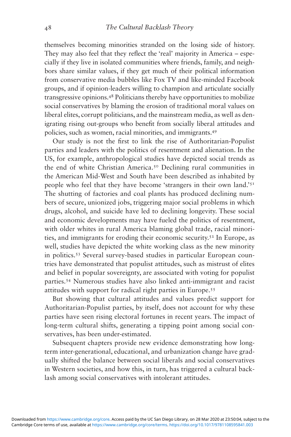themselves becoming minorities stranded on the losing side of history. They may also feel that they reflect the 'real' majority in America – especially if they live in isolated communities where friends, family, and neighbors share similar values, if they get much of their political information from conservative media bubbles like Fox TV and like-minded Facebook groups, and if opinion-leaders willing to champion and articulate socially transgressive opinions.48 Politicians thereby have opportunities to mobilize social conservatives by blaming the erosion of traditional moral values on liberal elites, corrupt politicians, and the mainstream media, as well as denigrating rising out-groups who benefit from socially liberal attitudes and policies, such as women, racial minorities, and immigrants.49

Our study is not the first to link the rise of Authoritarian-Populist parties and leaders with the politics of resentment and alienation. In the US, for example, anthropological studies have depicted social trends as the end of white Christian America.<sup>50</sup> Declining rural communities in the American Mid-West and South have been described as inhabited by people who feel that they have become 'strangers in their own land.'51 The shutting of factories and coal plants has produced declining numbers of secure, unionized jobs, triggering major social problems in which drugs, alcohol, and suicide have led to declining longevity. These social and economic developments may have fueled the politics of resentment, with older whites in rural America blaming global trade, racial minorities, and immigrants for eroding their economic security.52 In Europe, as well, studies have depicted the white working class as the new minority in politics.53 Several survey-based studies in particular European countries have demonstrated that populist attitudes, such as mistrust of elites and belief in popular sovereignty, are associated with voting for populist parties.54 Numerous studies have also linked anti-immigrant and racist attitudes with support for radical right parties in Europe.55

But showing that cultural attitudes and values predict support for Authoritarian-Populist parties, by itself, does not account for why these parties have seen rising electoral fortunes in recent years. The impact of long-term cultural shifts, generating a tipping point among social conservatives, has been under-estimated.

Subsequent chapters provide new evidence demonstrating how longterm inter-generational, educational, and urbanization change have gradually shifted the balance between social liberals and social conservatives in Western societies, and how this, in turn, has triggered a cultural backlash among social conservatives with intolerant attitudes.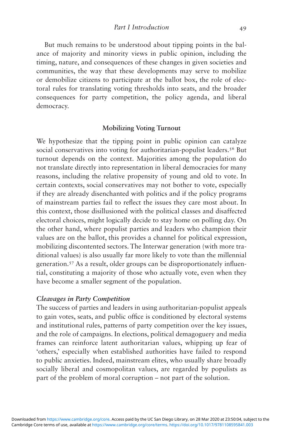*Part I Introduction* 49

But much remains to be understood about tipping points in the balance of majority and minority views in public opinion, including the timing, nature, and consequences of these changes in given societies and communities, the way that these developments may serve to mobilize or demobilize citizens to participate at the ballot box, the role of electoral rules for translating voting thresholds into seats, and the broader consequences for party competition, the policy agenda, and liberal democracy.

#### **Mobilizing Voting Turnout**

We hypothesize that the tipping point in public opinion can catalyze social conservatives into voting for authoritarian-populist leaders.<sup>56</sup> But turnout depends on the context. Majorities among the population do not translate directly into representation in liberal democracies for many reasons, including the relative propensity of young and old to vote. In certain contexts, social conservatives may not bother to vote, especially if they are already disenchanted with politics and if the policy programs of mainstream parties fail to reflect the issues they care most about. In this context, those disillusioned with the political classes and disaffected electoral choices, might logically decide to stay home on polling day. On the other hand, where populist parties and leaders who champion their values are on the ballot, this provides a channel for political expression, mobilizing discontented sectors. The Interwar generation (with more traditional values) is also usually far more likely to vote than the millennial generation.57 As a result, older groups can be disproportionately influential, constituting a majority of those who actually vote, even when they have become a smaller segment of the population.

# *Cleavages in Party Competition*

The success of parties and leaders in using authoritarian-populist appeals to gain votes, seats, and public office is conditioned by electoral systems and institutional rules, patterns of party competition over the key issues, and the role of campaigns. In elections, political demagoguery and media frames can reinforce latent authoritarian values, whipping up fear of 'others,' especially when established authorities have failed to respond to public anxieties. Indeed, mainstream elites, who usually share broadly socially liberal and cosmopolitan values, are regarded by populists as part of the problem of moral corruption – not part of the solution.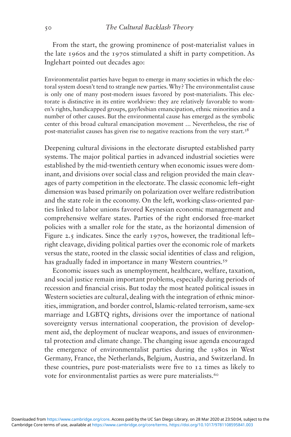From the start, the growing prominence of post-materialist values in the late 1960s and the 1970s stimulated a shift in party competition. As Inglehart pointed out decades ago:

Environmentalist parties have begun to emerge in many societies in which the electoral system doesn't tend to strangle new parties. Why? The environmentalist cause is only one of many post-modern issues favored by post-materialists. This electorate is distinctive in its entire worldview: they are relatively favorable to women's rights, handicapped groups, gay/lesbian emancipation, ethnic minorities and a number of other causes. But the environmental cause has emerged as the symbolic center of this broad cultural emancipation movement ... Nevertheless, the rise of post-materialist causes has given rise to negative reactions from the very start.58

Deepening cultural divisions in the electorate disrupted established party systems. The major political parties in advanced industrial societies were established by the mid-twentieth century when economic issues were dominant, and divisions over social class and religion provided the main cleavages of party competition in the electorate. The classic economic left–right dimension was based primarily on polarization over welfare redistribution and the state role in the economy. On the left, working-class-oriented parties linked to labor unions favored Keynesian economic management and comprehensive welfare states. Parties of the right endorsed free-market policies with a smaller role for the state, as the horizontal dimension of Figure 2.5 indicates. Since the early 1970s, however, the traditional left– right cleavage, dividing political parties over the economic role of markets versus the state, rooted in the classic social identities of class and religion, has gradually faded in importance in many Western countries.<sup>59</sup>

Economic issues such as unemployment, healthcare, welfare, taxation, and social justice remain important problems, especially during periods of recession and financial crisis. But today the most heated political issues in Western societies are cultural, dealing with the integration of ethnic minorities, immigration, and border control, Islamic-related terrorism, same-sex marriage and LGBTQ rights, divisions over the importance of national sovereignty versus international cooperation, the provision of development aid, the deployment of nuclear weapons, and issues of environmental protection and climate change. The changing issue agenda encouraged the emergence of environmentalist parties during the 1980s in West Germany, France, the Netherlands, Belgium, Austria, and Switzerland. In these countries, pure post-materialists were five to 12 times as likely to vote for environmentalist parties as were pure materialists.<sup>60</sup>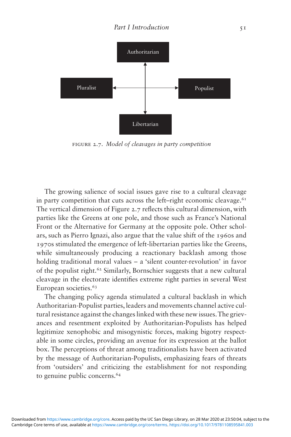

Figure 2.7. *Model of cleavages in party competition*

The growing salience of social issues gave rise to a cultural cleavage in party competition that cuts across the left–right economic cleavage. $61$ The vertical dimension of Figure 2.7 reflects this cultural dimension, with parties like the Greens at one pole, and those such as France's National Front or the Alternative for Germany at the opposite pole. Other scholars, such as Pierro Ignazi, also argue that the value shift of the 1960s and 1970s stimulated the emergence of left-libertarian parties like the Greens, while simultaneously producing a reactionary backlash among those holding traditional moral values – a 'silent counter-revolution' in favor of the populist right.62 Similarly, Bornschier suggests that a new cultural cleavage in the electorate identifies extreme right parties in several West European societies.<sup>63</sup>

The changing policy agenda stimulated a cultural backlash in which Authoritarian-Populist parties, leaders and movements channel active cultural resistance against the changes linked with these new issues. The grievances and resentment exploited by Authoritarian-Populists has helped legitimize xenophobic and misogynistic forces, making bigotry respectable in some circles, providing an avenue for its expression at the ballot box. The perceptions of threat among traditionalists have been activated by the message of Authoritarian-Populists, emphasizing fears of threats from 'outsiders' and criticizing the establishment for not responding to genuine public concerns.<sup>64</sup>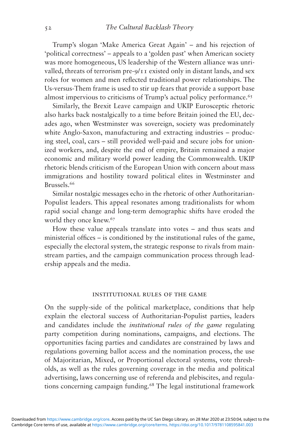Trump's slogan 'Make America Great Again' – and his rejection of 'political correctness' – appeals to a 'golden past' when American society was more homogeneous, US leadership of the Western alliance was unrivalled, threats of terrorism pre-9/11 existed only in distant lands, and sex roles for women and men reflected traditional power relationships. The Us-versus-Them frame is used to stir up fears that provide a support base almost impervious to criticisms of Trump's actual policy performance.<sup>65</sup>

Similarly, the Brexit Leave campaign and UKIP Eurosceptic rhetoric also harks back nostalgically to a time before Britain joined the EU, decades ago, when Westminster was sovereign, society was predominately white Anglo-Saxon, manufacturing and extracting industries – producing steel, coal, cars – still provided well-paid and secure jobs for unionized workers, and, despite the end of empire, Britain remained a major economic and military world power leading the Commonwealth. UKIP rhetoric blends criticism of the European Union with concern about mass immigrations and hostility toward political elites in Westminster and Brussels.66

Similar nostalgic messages echo in the rhetoric of other Authoritarian-Populist leaders. This appeal resonates among traditionalists for whom rapid social change and long-term demographic shifts have eroded the world they once knew.<sup>67</sup>

How these value appeals translate into votes – and thus seats and ministerial offices – is conditioned by the institutional rules of the game, especially the electoral system, the strategic response to rivals from mainstream parties, and the campaign communication process through leadership appeals and the media.

#### Institutional rules of the game

On the supply-side of the political marketplace, conditions that help explain the electoral success of Authoritarian-Populist parties, leaders and candidates include the *institutional rules of the game* regulating party competition during nominations, campaigns, and elections. The opportunities facing parties and candidates are constrained by laws and regulations governing ballot access and the nomination process, the use of Majoritarian, Mixed, or Proportional electoral systems, vote thresholds, as well as the rules governing coverage in the media and political advertising, laws concerning use of referenda and plebiscites, and regulations concerning campaign funding.68 The legal institutional framework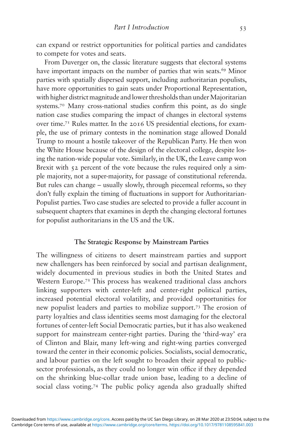can expand or restrict opportunities for political parties and candidates to compete for votes and seats.

From Duverger on, the classic literature suggests that electoral systems have important impacts on the number of parties that win seats.<sup>69</sup> Minor parties with spatially dispersed support, including authoritarian populists, have more opportunities to gain seats under Proportional Representation, with higher district magnitude and lower thresholds than under Majoritarian systems.<sup>70</sup> Many cross-national studies confirm this point, as do single nation case studies comparing the impact of changes in electoral systems over time.71 Rules matter. In the 2016 US presidential elections, for example, the use of primary contests in the nomination stage allowed Donald Trump to mount a hostile takeover of the Republican Party. He then won the White House because of the design of the electoral college, despite losing the nation-wide popular vote. Similarly, in the UK, the Leave camp won Brexit with 52 percent of the vote because the rules required only a simple majority, not a super-majority, for passage of constitutional referenda. But rules can change – usually slowly, through piecemeal reforms, so they don't fully explain the timing of fluctuations in support for Authoritarian-Populist parties. Two case studies are selected to provide a fuller account in subsequent chapters that examines in depth the changing electoral fortunes for populist authoritarians in the US and the UK.

## **The Strategic Response by Mainstream Parties**

The willingness of citizens to desert mainstream parties and support new challengers has been reinforced by social and partisan dealignment, widely documented in previous studies in both the United States and Western Europe.<sup>72</sup> This process has weakened traditional class anchors linking supporters with center-left and center-right political parties, increased potential electoral volatility, and provided opportunities for new populist leaders and parties to mobilize support.73 The erosion of party loyalties and class identities seems most damaging for the electoral fortunes of center-left Social Democratic parties, but it has also weakened support for mainstream center-right parties. During the 'third-way' era of Clinton and Blair, many left-wing and right-wing parties converged toward the center in their economic policies. Socialists, social democratic, and labour parties on the left sought to broaden their appeal to publicsector professionals, as they could no longer win office if they depended on the shrinking blue-collar trade union base, leading to a decline of social class voting.74 The public policy agenda also gradually shifted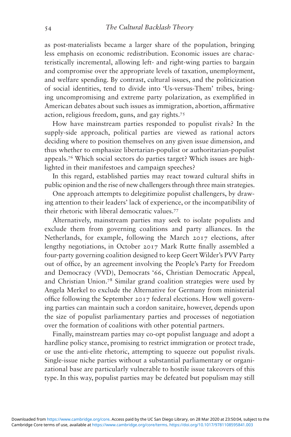as post-materialists became a larger share of the population, bringing less emphasis on economic redistribution. Economic issues are characteristically incremental, allowing left- and right-wing parties to bargain and compromise over the appropriate levels of taxation, unemployment, and welfare spending. By contrast, cultural issues, and the politicization of social identities, tend to divide into 'Us-versus-Them' tribes, bringing uncompromising and extreme party polarization, as exemplified in American debates about such issues as immigration, abortion, affirmative action, religious freedom, guns, and gay rights.75

How have mainstream parties responded to populist rivals? In the supply-side approach, political parties are viewed as rational actors deciding where to position themselves on any given issue dimension, and thus whether to emphasize libertarian-populist or authoritarian-populist appeals.76 Which social sectors do parties target? Which issues are highlighted in their manifestoes and campaign speeches?

In this regard, established parties may react toward cultural shifts in public opinion and the rise of new challengers through three main strategies.

One approach attempts to delegitimize populist challengers, by drawing attention to their leaders' lack of experience, or the incompatibility of their rhetoric with liberal democratic values.77

Alternatively, mainstream parties may seek to isolate populists and exclude them from governing coalitions and party alliances. In the Netherlands, for example, following the March 2017 elections, after lengthy negotiations, in October 2017 Mark Rutte finally assembled a four-party governing coalition designed to keep Geert Wilder's PVV Party out of office, by an agreement involving the People's Party for Freedom and Democracy (VVD), Democrats '66, Christian Democratic Appeal, and Christian Union.78 Similar grand coalition strategies were used by Angela Merkel to exclude the Alternative for Germany from ministerial office following the September 2017 federal elections. How well governing parties can maintain such a cordon sanitaire, however, depends upon the size of populist parliamentary parties and processes of negotiation over the formation of coalitions with other potential partners.

Finally, mainstream parties may co-opt populist language and adopt a hardline policy stance, promising to restrict immigration or protect trade, or use the anti-elite rhetoric, attempting to squeeze out populist rivals. Single-issue niche parties without a substantial parliamentary or organizational base are particularly vulnerable to hostile issue takeovers of this type. In this way, populist parties may be defeated but populism may still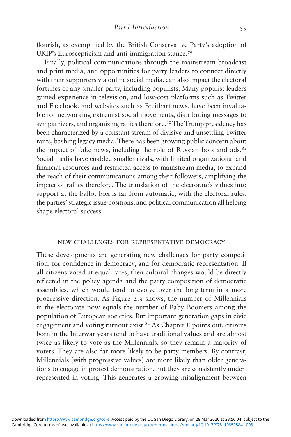flourish, as exemplified by the British Conservative Party's adoption of UKIP's Euroscepticism and anti-immigration stance.79

Finally, political communications through the mainstream broadcast and print media, and opportunities for party leaders to connect directly with their supporters via online social media, can also impact the electoral fortunes of any smaller party, including populists. Many populist leaders gained experience in television, and low-cost platforms such as Twitter and Facebook, and websites such as Breitbart news, have been invaluable for networking extremist social movements, distributing messages to sympathizers, and organizing rallies therefore.<sup>80</sup> The Trump presidency has been characterized by a constant stream of divisive and unsettling Twitter rants, bashing legacy media. There has been growing public concern about the impact of fake news, including the role of Russian bots and ads. $81$ Social media have enabled smaller rivals, with limited organizational and financial resources and restricted access to mainstream media, to expand the reach of their communications among their followers, amplifying the impact of rallies therefore. The translation of the electorate's values into support at the ballot box is far from automatic, with the electoral rules, the parties' strategic issue positions, and political communication all helping shape electoral success.

#### New Challenges for Representative Democracy

These developments are generating new challenges for party competition, for confidence in democracy, and for democratic representation. If all citizens voted at equal rates, then cultural changes would be directly reflected in the policy agenda and the party composition of democratic assemblies, which would tend to evolve over the long-term in a more progressive direction. As Figure 2.3 shows, the number of Millennials in the electorate now equals the number of Baby Boomers among the population of European societies. But important generation gaps in civic engagement and voting turnout exist. $82$  As Chapter 8 points out, citizens born in the Interwar years tend to have traditional values and are almost twice as likely to vote as the Millennials, so they remain a majority of voters. They are also far more likely to be party members. By contrast, Millennials (with progressive values) are more likely than older generations to engage in protest demonstration, but they are consistently underrepresented in voting. This generates a growing misalignment between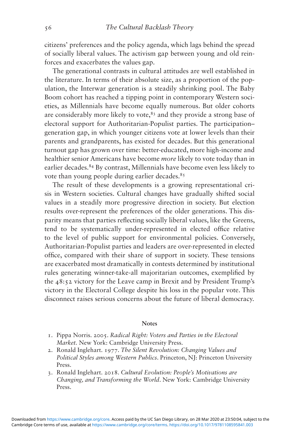citizens' preferences and the policy agenda, which lags behind the spread of socially liberal values. The activism gap between young and old reinforces and exacerbates the values gap.

The generational contrasts in cultural attitudes are well established in the literature. In terms of their absolute size, as a proportion of the population, the Interwar generation is a steadily shrinking pool. The Baby Boom cohort has reached a tipping point in contemporary Western societies, as Millennials have become equally numerous. But older cohorts are considerably more likely to vote, $83$  and they provide a strong base of electoral support for Authoritarian-Populist parties. The participation– generation gap, in which younger citizens vote at lower levels than their parents and grandparents, has existed for decades. But this generational turnout gap has grown over time: better-educated, more high-income and healthier senior Americans have become *more* likely to vote today than in earlier decades.<sup>84</sup> By contrast, Millennials have become even less likely to vote than young people during earlier decades.<sup>85</sup>

The result of these developments is a growing representational crisis in Western societies. Cultural changes have gradually shifted social values in a steadily more progressive direction in society. But election results over-represent the preferences of the older generations. This disparity means that parties reflecting socially liberal values, like the Greens, tend to be systematically under-represented in elected office relative to the level of public support for environmental policies. Conversely, Authoritarian-Populist parties and leaders are over-represented in elected office, compared with their share of support in society. These tensions are exacerbated most dramatically in contests determined by institutional rules generating winner-take-all majoritarian outcomes, exemplified by the 48:52 victory for the Leave camp in Brexit and by President Trump's victory in the Electoral College despite his loss in the popular vote. This disconnect raises serious concerns about the future of liberal democracy.

#### **Notes**

- 1. Pippa Norris. 2005. *Radical Right: Voters and Parties in the Electoral Market.* New York: Cambridge University Press.
- 2. Ronald Inglehart. 1977. *The Silent Revolution: Changing Values and Political Styles among Western Publics*. Princeton, NJ: Princeton University Press.
- 3. Ronald Inglehart. 2018. *Cultural Evolution: People's Motivations are Changing, and Transforming the World*. New York: Cambridge University Press.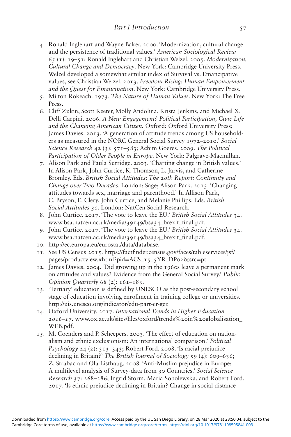- 4. Ronald Inglehart and Wayne Baker. 2000. 'Modernization, cultural change and the persistence of traditional values.' *American Sociological Review* 65 (1): 19–51; Ronald Inglehart and Christian Welzel. 2005. *Modernization, Cultural Change and Democracy*. New York: Cambridge University Press. Welzel developed a somewhat similar index of Survival vs. Emancipative values, see Christian Welzel. 2013. *Freedom Rising: Human Empowerment and the Quest for Emancipation*. New York: Cambridge University Press.
- 5. Milton Rokeach. 1973. *The Nature of Human Values*. New York: The Free Press.
- 6. Cliff Zukin, Scott Keeter, Molly Andolina, Krista Jenkins, and Michael X. Delli Carpini. 2006. *A New Engagement? Political Participation, Civic Life and the Changing American Citizen.* Oxford: Oxford University Press; James Davies. 2013. 'A generation of attitude trends among US householders as measured in the NORC General Social Survey 1972–2010.' *Social Science Research* 42 (3): 571–583; Achim Goeres. 2009. *The Political Participation of Older People in Europe.* New York: Palgrave-Macmillan.
- 7. Alison Park and Paula Surridge. 2003. 'Charting change in British values.' In Alison Park, John Curtice, K. Thomson, L. Jarvis, and Catherine Bromley. Eds. *British Social Attitudes: The 20th Report: Continuity and Change over Two Decades*. London: Sage; Alison Park. 2013. 'Changing attitudes towards sex, marriage and parenthood.' In Allison Park, C. Bryson, E. Clery, John Curtice, and Melanie Phillips. Eds. *British Social Attitudes 30*. London: NatCen Social Research.
- 8. John Curtice. 2017. 'The vote to leave the EU.' *British Social Attitudes* 34. www.bsa.natcen.ac.uk/media/39149/bsa34\_brexit\_final.pdf.
- 9. John Curtice. 2017. 'The vote to leave the EU.' *British Social Attitudes* 34. www.bsa.natcen.ac.uk/media/39149/bsa34\_brexit\_final.pdf.
- 10. http://ec.europa.eu/eurostat/data/database.
- 11. See US Census 2015. https://factfinder.census.gov/faces/tableservices/jsf/ pages/productview.xhtml?pid=ACS\_15\_5YR\_DP02&src=pt.
- 12. James Davies. 2004. 'Did growing up in the 1960s leave a permanent mark on attitudes and values? Evidence from the General Social Survey.' *Public Opinion Quarterly* 68 (2): 161–183.
- 13. 'Tertiary' education is defined by UNESCO as the post-secondary school stage of education involving enrollment in training college or universities. http://uis.unesco.org/indicator/edu-part-er-ger.
- 14. Oxford University. 2017. *International Trends in Higher Education 2016–17.* www.ox.ac.uk/sites/files/oxford/trends%20in%20globalisation\_ WEB.pdf.
- 15. M. Coenders and P. Scheepers. 2003. 'The effect of education on nationalism and ethnic exclusionism: An international comparison.' *Political Psychology* 24 (2): 313–343; Robert Ford. 2008. 'Is racial prejudice declining in Britain?' *The British Journal of Sociology* 59 (4): 609–636; Z. Strabac and Ola Listhaug. 2008. 'Anti-Muslim prejudice in Europe: A multilevel analysis of Survey-data from 30 Countries.' *Social Science Research* 37: 268–286; Ingrid Storm, Maria Sobolewska, and Robert Ford. 2017. 'Is ethnic prejudice declining in Britain? Change in social distance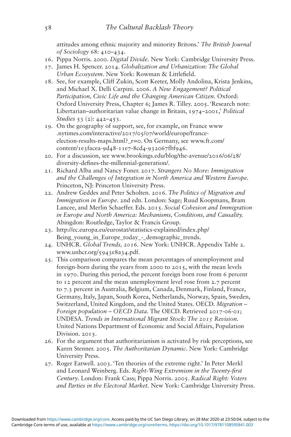attitudes among ethnic majority and minority Britons.' *The British Journal of Sociology* 68: 410–434.

- 16. Pippa Norris. 2000. *Digital Divide.* New York: Cambridge University Press.
- 17. James H. Spencer. 2014. *Globalization and Urbanization: The Global Urban Ecosystem*. New York: Rowman & Littlefield.
- 18. See, for example, Cliff Zukin, Scott Keeter, Molly Andolina, Krista Jenkins, and Michael X. Delli Carpini. 2006. *A New Engagement? Political Participation, Civic Life and the Changing American Citizen.* Oxford: Oxford University Press, Chapter 6; James R. Tilley. 2005. 'Research note: Libertarian–authoritarian value change in Britain, 1974–2001,' *Political Studies* 53 (2): 442–453.
- 19. On the geography of support, see, for example, on France www .nytimes.com/interactive/2017/05/07/world/europe/franceelection-results-maps.html?\_r=0. On Germany, see www.ft.com/ content/1e3facea-9d48-11e7-8cd4-932067fbf946.
- 20. For a discussion, see www.brookings.edu/blog/the-avenue/2016/06/28/ diversity-defines-the-millennial-generation/.
- 21. Richard Alba and Nancy Foner. 2017. *Strangers No More: Immigration and the Challenges of Integration in North America and Western Europe.* Princeton, NJ: Princeton University Press.
- 22. Andrew Geddes and Peter Scholten. 2016. *The Politics of Migration and Immigration in Europe*. 2nd edn. London: Sage; Ruud Koopmans, Bram Lancee, and Merlin Schaeffer. Eds. 2015. *Social Cohesion and Immigration in Europe and North America: Mechanisms, Conditions, and Causality.* Abingdon: Routledge, Taylor & Francis Group.
- 23. http://ec.europa.eu/eurostat/statistics-explained/index.php/ Being\_young\_in\_Europe\_today\_-\_demographic\_trends.
- 24. UNHCR. *Global Trends, 2016.* New York: UNHCR. Appendix Table 2. www.unhcr.org/5943e8a34.pdf.
- 25. This comparison compares the mean percentages of unemployment and foreign-born during the years from 2000 to 2015, with the mean levels in 1970. During this period, the percent foreign born rose from 6 percent to 12 percent and the mean unemployment level rose from 2.7 percent to 7.3 percent in Australia, Belgium, Canada, Denmark, Finland, France, Germany, Italy, Japan, South Korea, Netherlands, Norway, Spain, Sweden, Switzerland, United Kingdom, and the United States. OECD. *Migration – Foreign population – OECD Data.* The OECD. Retrieved 2017-06-01; UNDESA. *Trends in International Migrant Stock: The 2015 Revision.* United Nations Department of Economic and Social Affairs, Population Division. 2015.
- 26. For the argument that authoritarianism is activated by risk perceptions, see Karen Stenner. 2005. *The Authoritarian Dynamic*. New York: Cambridge University Press.
- 27. Roger Eatwell. 2003. 'Ten theories of the extreme right.' In Peter Merkl and Leonard Weinberg. Eds. *Right-Wing Extremism in the Twenty-first Century*. London: Frank Cass; Pippa Norris. 2005. *Radical Right: Voters and Parties in the Electoral Market.* New York: Cambridge University Press.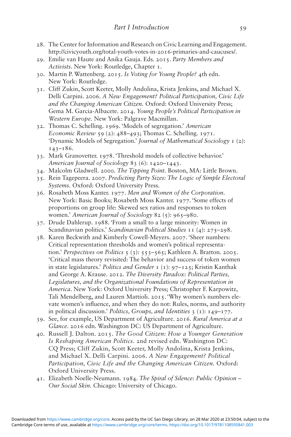- 28. The Center for Information and Research on Civic Learning and Engagement. http://civicyouth.org/total-youth-votes-in-2016-primaries-and-caucuses/.
- 29. Emilie van Haute and Anika Gauja. Eds. 2015. *Party Members and Activists*. New York: Routledge, Chapter 1.
- 30. Martin P. Wattenberg. 2015. *Is Voting for Young People?* 4th edn. New York: Routledge.
- 31. Cliff Zukin, Scott Keeter, Molly Andolina, Krista Jenkins, and Michael X. Delli Carpini. 2006. *A New Engagement? Political Participation, Civic Life and the Changing American Citizen.* Oxford: Oxford University Press; Gema M. Garcia-Albacete. 2014. *Young People's Political Participation in Western Europe.* New York: Palgrave Macmillan.
- 32. Thomas C. Schelling. 1969. 'Models of segregation.' *American Economic Review* 59 (2): 488–493; Thomas C. Schelling. 1971. 'Dynamic Models of Segregation.' *Journal of Mathematical Sociology* 1 (2): 143–186.
- 33. Mark Granovetter. 1978. 'Threshold models of collective behavior.' *American Journal of Sociology* 83 (6): 1420–1443.
- 34. Malcolm Gladwell. 2000. *The Tipping Point.* Boston, MA: Little Brown.
- 35. Rein Tagepeera. 2007. *Predicting Party Sizes: The Logic of Simple Electoral Systems.* Oxford: Oxford University Press.
- 36. Rosabeth Moss Kanter. 1977. *Men and Women of the Corporation*. New York: Basic Books; Rosabeth Moss Kanter. 1977. 'Some effects of proportions on group life: Skewed sex ratios and responses to token women.' *American Journal of Sociology* 82 (5): 965–980.
- 37. Drude Dahlerup. 1988. 'From a small to a large minority: Women in Scandinavian politics.' *Scandinavian Political Studies* 11 (4): 275–298.
- 38. Karen Beckwith and Kimberly Cowell-Meyers. 2007. 'Sheer numbers: Critical representation thresholds and women's political representation.' *Perspectives on Politics* 5 (3): 553–565; Kathleen A. Bratton. 2005. 'Critical mass theory revisited: The behavior and success of token women in state legislatures.' *Politics and Gender* 1 (1): 97–125; Kristin Kanthak and George A. Krause. 2012. *The Diversity Paradox: Political Parties, Legislatures, and the Organizational Foundations of Representation in America*. New York: Oxford University Press; Christopher F. Karpowitz, Tali Mendelberg, and Lauren Mattioli. 2015. 'Why women's numbers elevate women's influence, and when they do not: Rules, norms, and authority in political discussion.' *Politics, Groups, and Identities* 3 (1): 149–177.
- 39. See, for example, US Department of Agriculture. 2016. *Rural America at a Glance*. 2016 edn. Washington DC: US Department of Agriculture.
- 40. Russell J. Dalton. 2015. *The Good Citizen: How a Younger Generation Is Reshaping American Politics*. 2nd revised edn. Washington DC: CQ Press; Cliff Zukin, Scott Keeter, Molly Andolina, Krista Jenkins, and Michael X. Delli Carpini. 2006. *A New Engagement? Political Participation, Civic Life and the Changing American Citizen.* Oxford: Oxford University Press.
- 41. Elizabeth Noelle-Neumann. 1984. *The Spiral of Silence: Public Opinion Our Social Skin.* Chicago: University of Chicago.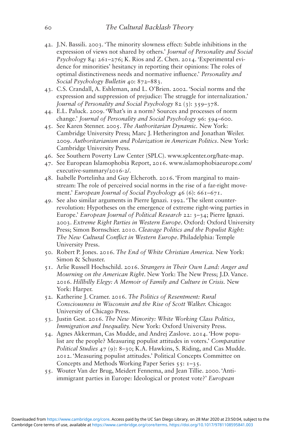- 42. J.N. Bassili. 2003. 'The minority slowness effect: Subtle inhibitions in the expression of views not shared by others.' *Journal of Personality and Social Psychology* 84: 261–276; K. Rios and Z. Chen. 2014. 'Experimental evidence for minorities' hesitancy in reporting their opinions: The roles of optimal distinctiveness needs and normative influence.' *Personality and Social Psychology Bulletin* 40: 872–883.
- 43. C.S. Crandall, A. Eshleman, and L. O'Brien. 2002. 'Social norms and the expression and suppression of prejudice: The struggle for internalization.' *Journal of Personality and Social Psychology* 82 (3): 359–378.
- 44. E.L. Paluck. 2009. 'What's in a norm? Sources and processes of norm change.' *Journal of Personality and Social Psychology* 96: 594–600.
- 45. See Karen Stenner. 2005. *The Authoritarian Dynamic.* New York: Cambridge University Press; Marc J. Hetherington and Jonathan Weiler. 2009. *Authoritarianism and Polarization in American Politics*. New York: Cambridge University Press.
- 46. See Southern Poverty Law Center (SPLC). www.splcenter.org/hate-map.
- 47. See European Islamophobia Report, 2016. www.islamophobiaeurope.com/ executive-summary/2016-2/.
- 48. Isabelle Portelinha and Guy Elcheroth. 2016. 'From marginal to mainstream: The role of perceived social norms in the rise of a far-right movement.' *European Journal of Social Psychology* 46 (6): 661–671.
- 49. See also similar arguments in Pierre Ignazi. 1992. 'The silent counterrevolution: Hypotheses on the emergence of extreme right-wing parties in Europe.' *European Journal of Political Research* 22: 3–34; Pierre Ignazi. 2003. *Extreme Right Parties in Western Europe*. Oxford: Oxford University Press; Simon Bornschier. 2010. *Cleavage Politics and the Populist Right: The New Cultural Conflict in Western Europe*. Philadelphia: Temple University Press.
- 50. Robert P. Jones. 2016. *The End of White Christian America.* New York: Simon & Schuster.
- 51. Arlie Russell Hochschild. 2016. *Strangers in Their Own Land: Anger and Mourning on the American Right*. New York: The New Press; J.D. Vance. 2016. *Hillbilly Elegy: A Memoir of Family and Culture in Crisis.* New York: Harper.
- 52. Katherine J. Cramer. 2016. *The Politics of Resentment: Rural Consciousness in Wisconsin and the Rise of Scott Walker.* Chicago: University of Chicago Press.
- 53. Justin Gest. 2016. *The New Minority: White Working Class Politics, Immigration and Inequality.* New York: Oxford University Press.
- 54. Agnes Akkerman, Cas Mudde, and Andrej Zaslove. 2014. 'How populist are the people? Measuring populist attitudes in voters.' *Comparative Political Studies* 47 (9): 8–30; K.A. Hawkins, S. Riding, and Cas Mudde. 2012. 'Measuring populist attitudes.' Political Concepts Committee on Concepts and Methods Working Paper Series 55: 1-35.
- 55. Wouter Van der Brug, Meidert Fennema, and Jean Tillie. 2000. 'Antiimmigrant parties in Europe: Ideological or protest vote?' *European*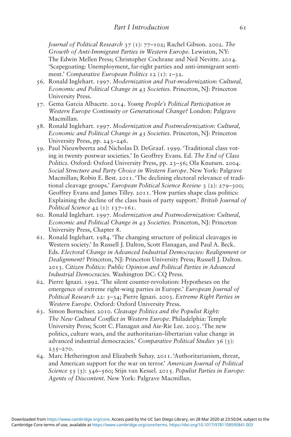*Journal of Political Research* 37 (1): 77–102; Rachel Gibson. 2002. *The Growth of Anti-Immigrant Parties in Western Europe.* Lewiston, NY: The Edwin Mellen Press; Christopher Cochrane and Neil Nevitte. 2014. 'Scapegoating: Unemployment, far-right parties and anti-immigrant sentiment.' *Comparative European Politics* 12 (1): 1–32.

- 56. Ronald Inglehart. 1997. *Modernization and Post-modernization: Cultural, Economic and Political Change in 43 Societies.* Princeton, NJ: Princeton University Press.
- 57. Gema Garcia Albacete. 2014. *Young People's Political Participation in Western Europe Continuity or Generational Change?* London: Palgrave Macmillan.
- 58. Ronald Inglehart. 1997. *Modernization and Postmodernization: Cultural, Economic and Political Change in 43 Societies.* Princeton, NJ: Princeton University Press, pp. 243–246.
- 59. Paul Nieuwbeerta and Nicholas D. DeGraaf. 1999. 'Traditional class voting in twenty postwar societies.' In Geoffrey Evans. Ed. *The End of Class Politics.* Oxford: Oxford University Press, pp. 23–56; Ola Knutsen. 2004. *Social Structure and Party Choice in Western Europe*. New York: Palgrave Macmillan; Robin E. Best. 2011. 'The declining electoral relevance of traditional cleavage groups.' *European Political Science Review* 3 (2): 279–300; Geoffrey Evans and James Tilley. 2011. 'How parties shape class politics: Explaining the decline of the class basis of party support.' *British Journal of Political Science* 42 (1): 137–161.
- 60. Ronald Inglehart. 1997. *Modernization and Postmodernization: Cultural, Economic and Political Change in 43 Societies.* Princeton, NJ: Princeton University Press, Chapter 8.
- 61. Ronald Inglehart. 1984. 'The changing structure of political cleavages in Western society.' In Russell J. Dalton, Scott Flanagan, and Paul A. Beck. Eds. *Electoral Change in Advanced Industrial Democracies: Realignment or Dealignment?* Princeton, NJ: Princeton University Press; Russell J. Dalton. 2013. *Citizen Politics: Public Opinion and Political Parties in Advanced Industrial Democracies.* Washington DC: CQ Press.
- 62. Pierre Ignazi. 1992. 'The silent counter-revolution: Hypotheses on the emergence of extreme right-wing parties in Europe.' *European Journal of Political Research* 22: 3–34; Pierre Ignazi. 2003. *Extreme Right Parties in Western Europe*. Oxford: Oxford University Press.
- 63. Simon Bornschier. 2010. *Cleavage Politics and the Populist Right: The New Cultural Conflict in Western Europe*. Philadelphia: Temple University Press; Scott C. Flanagan and Aie-Rie Lee. 2003. 'The new politics, culture wars, and the authoritarian–libertarian value change in advanced industrial democracies.' *Comparative Political Studies* 36 (3):  $235 - 270.$
- 64. Marc Hetherington and Elizabeth Suhay. 2011. 'Authoritarianism, threat, and American support for the war on terror.' *American Journal of Political Science* 55 (3): 546–560; Stijn van Kessel. 2015. *Populist Parties in Europe: Agents of Discontent.* New York: Palgrave Macmillan.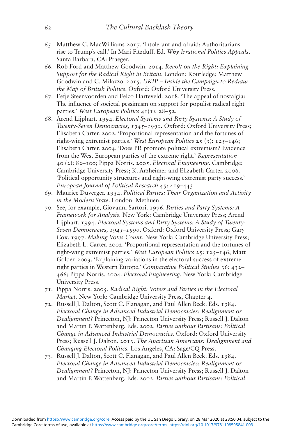- 65. Matthew C. MacWilliams 2017. 'Intolerant and afraid: Authoritarians rise to Trump's call.' In Mari Fitzduff. Ed. *Why Irrational Politics Appeals*. Santa Barbara, CA: Praeger.
- 66. Rob Ford and Matthew Goodwin. 2014. *Revolt on the Right: Explaining Support for the Radical Right in Britain*. London: Routledge; Matthew Goodwin and C. Milazzo. 2015. *UKIP – Inside the Campaign to Redraw the Map of British Politics*. Oxford: Oxford University Press.
- 67. Eefje Steenvoorden and Eelco Harteveld. 2018. 'The appeal of nostalgia: The influence of societal pessimism on support for populist radical right parties.' *West European Politics* 41(1): 28–52.
- 68. Arend Lijphart. 1994. *Electoral Systems and Party Systems: A Study of Twenty-Seven Democracies, 1945–1990.* Oxford: Oxford University Press; Elisabeth Carter. 2002. 'Proportional representation and the fortunes of right-wing extremist parties.' *West European Politics* 25 (3): 125–146; Elisabeth Carter. 2004. 'Does PR promote political extremism? Evidence from the West European parties of the extreme right.' *Representation* 40 (2): 82–100; Pippa Norris. 2005. *Electoral Engineering*. Cambridge: Cambridge University Press; K. Arzheimer and Elizabeth Carter. 2006. 'Political opportunity structures and right-wing extremist party success.' *European Journal of Political Research* 45: 419–443.
- 69. Maurice Duverger. 1954. *Political Parties: Their Organization and Activity in the Modern State*. London: Methuen.
- 70. See, for example, Giovanni Sartori. 1976. *Parties and Party Systems: A Framework for Analysis.* New York: Cambridge University Press; Arend Lijphart. 1994. *Electoral Systems and Party Systems: A Study of Twenty-Seven Democracies, 1945–1990*. Oxford: Oxford University Press; Gary Cox. 1997. *Making Votes Count.* New York: Cambridge University Press; Elizabeth L. Carter. 2002. 'Proportional representation and the fortunes of right-wing extremist parties.' *West European Politics* 25: 125–146; Matt Golder. 2003. 'Explaining variations in the electoral success of extreme right parties in Western Europe.' *Comparative Political Studies* 36: 432– 466; Pippa Norris. 2004. *Electoral Engineering*. New York: Cambridge University Press.
- 71. Pippa Norris. 2005. *Radical Right: Voters and Parties in the Electoral Market.* New York: Cambridge University Press, Chapter 4.
- 72. Russell J. Dalton, Scott C. Flanagan, and Paul Allen Beck. Eds. 1984. *Electoral Change in Advanced Industrial Democracies: Realignment or Dealignment?* Princeton, NJ: Princeton University Press; Russell J. Dalton and Martin P. Wattenberg. Eds. 2002. *Parties without Partisans: Political Change in Advanced Industrial Democracies*. Oxford: Oxford University Press; Russell J. Dalton. 2013. *The Apartisan Americans: Dealignment and Changing Electoral Politics.* Los Angeles, CA: Sage/CQ Press.
- 73. Russell J. Dalton, Scott C. Flanagan, and Paul Allen Beck. Eds. 1984. *Electoral Change in Advanced Industrial Democracies: Realignment or Dealignment?* Princeton, NJ: Princeton University Press; Russell J. Dalton and Martin P. Wattenberg. Eds. 2002. *Parties without Partisans: Political*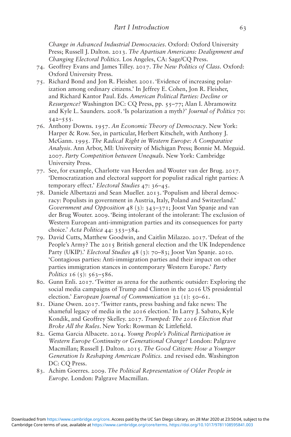*Change in Advanced Industrial Democracies*. Oxford: Oxford University Press; Russell J. Dalton. 2013. *The Apartisan Americans: Dealignment and Changing Electoral Politics.* Los Angeles, CA: Sage/CQ Press.

- 74. Geoffrey Evans and James Tilley. 2017. *The New Politics of Class.* Oxford: Oxford University Press.
- 75. Richard Bond and Jon R. Fleisher. 2001. 'Evidence of increasing polarization among ordinary citizens.' In Jeffrey E. Cohen, Jon R. Fleisher, and Richard Kantor Paul. Eds. *American Political Parties: Decline or Resurgence?* Washington DC: CQ Press, pp. 55–77; Alan I. Abramowitz and Kyle L. Saunders. 2008. 'Is polarization a myth?' *Journal of Politics* 70: 542–555.
- 76. Anthony Downs. 1957. *An Economic Theory of Democracy*. New York: Harper & Row. See, in particular, Herbert Kitschelt, with Anthony J. McGann. 1995. *The Radical Right in Western Europe: A Comparative Analysis*. Ann Arbor, MI: University of Michigan Press; Bonnie M. Meguid. 2007. *Party Competition between Unequals*. New York: Cambridge University Press.
- 77. See, for example, Charlotte van Heerden and Wouter van der Brug. 2017. 'Democratization and electoral support for populist radical right parties: A temporary effect.' *Electoral Studies* 47: 36–45.
- 78. Daniele Albertazzi and Sean Mueller. 2013. 'Populism and liberal democracy: Populists in government in Austria, Italy, Poland and Switzerland.' *Government and Opposition* 48 (3): 343–371; Joost Van Spanje and van der Brug Wouter. 2009. 'Being intolerant of the intolerant: The exclusion of Western European anti-immigration parties and its consequences for party choice.' *Acta Politica* 44: 353–384.
- 79. David Cutts, Matthew Goodwin, and Caitlin Milazzo. 2017. 'Defeat of the People's Army? The 2015 British general election and the UK Independence Party (UKIP).' *Electoral Studies* 48 (3): 70-83; Joost Van Spanje. 2010. 'Contagious parties: Anti-immigration parties and their impact on other parties immigration stances in contemporary Western Europe.' *Party Politics* 16 (5): 563–586.
- 80. Gunn Enli. 2017. 'Twitter as arena for the authentic outsider: Exploring the social media campaigns of Trump and Clinton in the 2016 US presidential election.' *European Journal of Communication* 32 (1): 50–61.
- 81. Diane Owen. 2017. 'Twitter rants, press bashing and fake news: The shameful legacy of media in the 2016 election.' In Larry J. Sabato, Kyle Kondik, and Geoffrey Skelley. 2017. *Trumped: The 2016 Election that Broke All the Rules*. New York: Rowman & Littlefield.
- 82. Gema Garcia Albacete. 2014. *Young People's Political Participation in Western Europe Continuity or Generational Change?* London: Palgrave Macmillan; Russell J. Dalton. 2015. *The Good Citizen: How a Younger Generation Is Reshaping American Politics.* 2nd revised edn. Washington DC: CQ Press.
- 83. Achim Goerres. 2009. *The Political Representation of Older People in Europe.* London: Palgrave Macmillan.